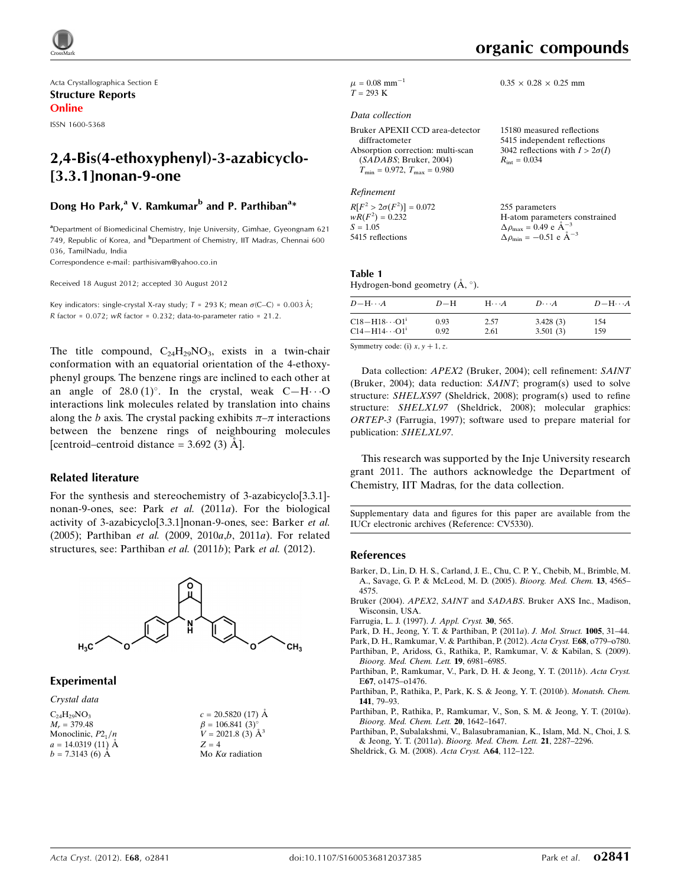

Acta Crystallographica Section E Structure Reports Online

ISSN 1600-5368

# 2,4-Bis(4-ethoxyphenyl)-3-azabicyclo- [3.3.1]nonan-9-one

## Dong Ho Park,<sup>a</sup> V. Ramkumar<sup>b</sup> and P. Parthiban<sup>a</sup>\*

<sup>a</sup> Department of Biomedicinal Chemistry, Inje University, Gimhae, Gyeongnam 621 749, Republic of Korea, and <sup>b</sup>Department of Chemistry, IIT Madras, Chennai 600 036, TamilNadu, India

Correspondence e-mail: [parthisivam@yahoo.co.in](http://scripts.iucr.org/cgi-bin/cr.cgi?rm=pdfbb&cnor=cv5330&bbid=BB11)

Received 18 August 2012; accepted 30 August 2012

Key indicators: single-crystal X-ray study;  $T = 293$  K; mean  $\sigma$ (C–C) = 0.003 Å;  $R$  factor = 0.072;  $wR$  factor = 0.232; data-to-parameter ratio = 21.2.

The title compound,  $C_{24}H_{29}NO_3$ , exists in a twin-chair conformation with an equatorial orientation of the 4-ethoxyphenyl groups. The benzene rings are inclined to each other at an angle of  $28.0 \,(1)^{\circ}$ . In the crystal, weak C-H $\cdot \cdot \cdot$ O interactions link molecules related by translation into chains along the b axis. The crystal packing exhibits  $\pi-\pi$  interactions between the benzene rings of neighbouring molecules [centroid–centroid distance  $=$  3.692 (3)  $\AA$ ].

### Related literature

For the synthesis and stereochemistry of 3-azabicyclo[3.3.1] nonan-9-ones, see: Park et al. (2011a). For the biological activity of 3-azabicyclo[3.3.1]nonan-9-ones, see: Barker et al. (2005); Parthiban et al. (2009, 2010a,b, 2011a). For related structures, see: Parthiban *et al.* (2011*b*); Park *et al.* (2012).



### Experimental

Crystal data  $C_{24}H_{29}NO_3$  $M_r = 379.48$ Monoclinic,  $P2_1/n$  $a = 14.0319(11)$  Å  $b = 7.3143(6)$  Å

| $c = 20.5820(17)$ Å      |
|--------------------------|
| $\beta = 106.841(3)$ °   |
| $V = 2021.8$ (3) $\AA^3$ |
| $Z = 4$                  |
| Mo $K\alpha$ radiation   |

 $2\sigma(I)$ 

 $0.35 \times 0.28 \times 0.25$  mm

 $\mu = 0.08$  mm<sup>-1</sup>  $T = 293 K$ 

#### Data collection

| 15180 measured reflections          |
|-------------------------------------|
| 5415 independent reflections        |
| 3042 reflections with $I > 2\sigma$ |
| $R_{\rm int} = 0.034$               |
|                                     |
|                                     |

Refinement

 $R[F^2 > 2\sigma(F^2)] = 0.072$ <br>  $wR(F^2) = 0.232$  $S = 1.05$ 5415 reflections 255 parameters H-atom parameters constrained  $\Delta \rho_{\text{max}} = 0.49 \text{ e A}^{-3}$  $\Delta \rho_{\text{min}} = -0.51$  e  $\AA^{-3}$ 

### Table 1

Hydrogen-bond geometry  $(\AA, \degree)$ .

| $D - H \cdots A$                   | $D-H$ | $H\cdots A$ | $D\cdots A$ | $D - H \cdots A$ |
|------------------------------------|-------|-------------|-------------|------------------|
| $C18 - H18 \cdots O1$ <sup>1</sup> | 0.93  | 2.57        | 3.428(3)    | 154              |
| $C14 - H14 \cdots O1$ <sup>i</sup> | 0.92  | 2.61        | 3.501(3)    | 159              |

Symmetry code: (i)  $x, y + 1, z$ .

Data collection: APEX2 (Bruker, 2004); cell refinement: SAINT (Bruker, 2004); data reduction: SAINT; program(s) used to solve structure: SHELXS97 (Sheldrick, 2008); program(s) used to refine structure: SHELXL97 (Sheldrick, 2008); molecular graphics: ORTEP-3 (Farrugia, 1997); software used to prepare material for publication: SHELXL97.

This research was supported by the Inje University research grant 2011. The authors acknowledge the Department of Chemistry, IIT Madras, for the data collection.

Supplementary data and figures for this paper are available from the IUCr electronic archives (Reference: CV5330).

### References

- [Barker, D., Lin, D. H. S., Carland, J. E., Chu, C. P. Y., Chebib, M., Brimble, M.](http://scripts.iucr.org/cgi-bin/cr.cgi?rm=pdfbb&cnor=cv5330&bbid=BB1) [A., Savage, G. P. & McLeod, M. D. \(2005\).](http://scripts.iucr.org/cgi-bin/cr.cgi?rm=pdfbb&cnor=cv5330&bbid=BB1) Bioorg. Med. Chem. 13, 4565– [4575.](http://scripts.iucr.org/cgi-bin/cr.cgi?rm=pdfbb&cnor=cv5330&bbid=BB1)
- Bruker (2004). APEX2, SAINT and SADABS[. Bruker AXS Inc., Madison,](http://scripts.iucr.org/cgi-bin/cr.cgi?rm=pdfbb&cnor=cv5330&bbid=BB2) [Wisconsin, USA.](http://scripts.iucr.org/cgi-bin/cr.cgi?rm=pdfbb&cnor=cv5330&bbid=BB2)
- [Farrugia, L. J. \(1997\).](http://scripts.iucr.org/cgi-bin/cr.cgi?rm=pdfbb&cnor=cv5330&bbid=BB3) J. Appl. Cryst. 30, 565.
- [Park, D. H., Jeong, Y. T. & Parthiban, P. \(2011](http://scripts.iucr.org/cgi-bin/cr.cgi?rm=pdfbb&cnor=cv5330&bbid=BB4)a). J. Mol. Struct. 1005, 31–44.
- [Park, D. H., Ramkumar, V. & Parthiban, P. \(2012\).](http://scripts.iucr.org/cgi-bin/cr.cgi?rm=pdfbb&cnor=cv5330&bbid=BB5) Acta Cryst. E68, o779–o780.
- [Parthiban, P., Aridoss, G., Rathika, P., Ramkumar, V. & Kabilan, S. \(2009\).](http://scripts.iucr.org/cgi-bin/cr.cgi?rm=pdfbb&cnor=cv5330&bbid=BB6)
- [Bioorg. Med. Chem. Lett.](http://scripts.iucr.org/cgi-bin/cr.cgi?rm=pdfbb&cnor=cv5330&bbid=BB6) 19, 6981–6985. [Parthiban, P., Ramkumar, V., Park, D. H. & Jeong, Y. T. \(2011](http://scripts.iucr.org/cgi-bin/cr.cgi?rm=pdfbb&cnor=cv5330&bbid=BB7)b). Acta Cryst. E67[, o1475–o1476.](http://scripts.iucr.org/cgi-bin/cr.cgi?rm=pdfbb&cnor=cv5330&bbid=BB7)
- [Parthiban, P., Rathika, P., Park, K. S. & Jeong, Y. T. \(2010](http://scripts.iucr.org/cgi-bin/cr.cgi?rm=pdfbb&cnor=cv5330&bbid=BB8)b). Monatsh. Chem. 141[, 79–93.](http://scripts.iucr.org/cgi-bin/cr.cgi?rm=pdfbb&cnor=cv5330&bbid=BB8)
- [Parthiban, P., Rathika, P., Ramkumar, V., Son, S. M. & Jeong, Y. T. \(2010](http://scripts.iucr.org/cgi-bin/cr.cgi?rm=pdfbb&cnor=cv5330&bbid=BB9)a). [Bioorg. Med. Chem. Lett.](http://scripts.iucr.org/cgi-bin/cr.cgi?rm=pdfbb&cnor=cv5330&bbid=BB9) 20, 1642–1647.
- [Parthiban, P., Subalakshmi, V., Balasubramanian, K., Islam, Md. N., Choi, J. S.](http://scripts.iucr.org/cgi-bin/cr.cgi?rm=pdfbb&cnor=cv5330&bbid=BB10) & Jeong, Y. T. (2011a). [Bioorg. Med. Chem. Lett.](http://scripts.iucr.org/cgi-bin/cr.cgi?rm=pdfbb&cnor=cv5330&bbid=BB10) 21, 2287–2296.
- [Sheldrick, G. M. \(2008\).](http://scripts.iucr.org/cgi-bin/cr.cgi?rm=pdfbb&cnor=cv5330&bbid=BB11) Acta Cryst. A64, 112–122.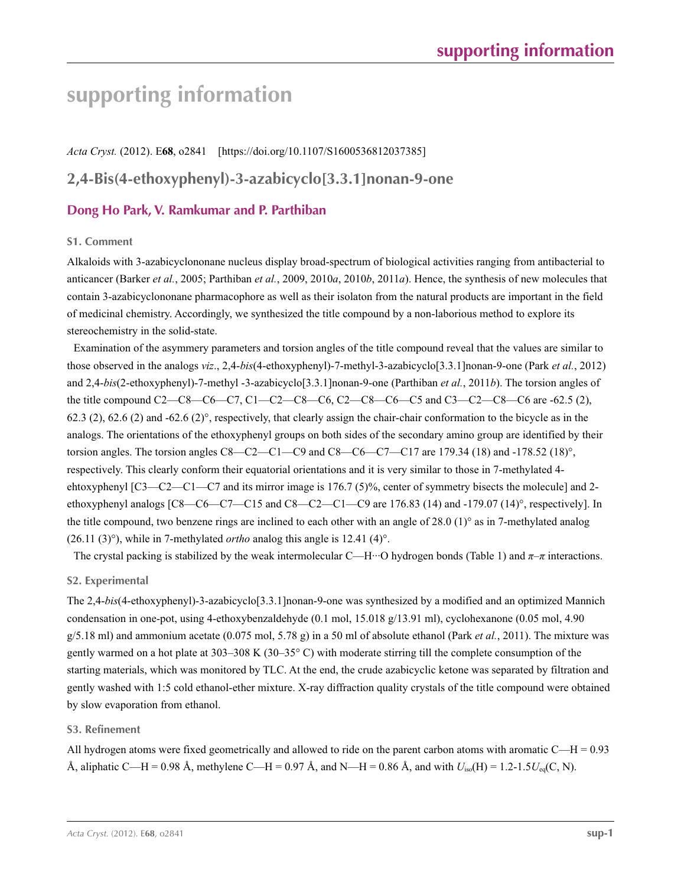# **supporting information**

# *Acta Cryst.* (2012). E**68**, o2841 [https://doi.org/10.1107/S1600536812037385]

# **2,4-Bis(4-ethoxyphenyl)-3-azabicyclo[3.3.1]nonan-9-one**

# **Dong Ho Park, V. Ramkumar and P. Parthiban**

### **S1. Comment**

Alkaloids with 3-azabicyclononane nucleus display broad-spectrum of biological activities ranging from antibacterial to anticancer (Barker *et al.*, 2005; Parthiban *et al.*, 2009, 2010*a*, 2010*b*, 2011*a*). Hence, the synthesis of new molecules that contain 3-azabicyclononane pharmacophore as well as their isolaton from the natural products are important in the field of medicinal chemistry. Accordingly, we synthesized the title compound by a non-laborious method to explore its stereochemistry in the solid-state.

Examination of the asymmery parameters and torsion angles of the title compound reveal that the values are similar to those observed in the analogs *viz*., 2,4-*bis*(4-ethoxyphenyl)-7-methyl-3-azabicyclo[3.3.1]nonan-9-one (Park *et al.*, 2012) and 2,4-*bis*(2-ethoxyphenyl)-7-methyl -3-azabicyclo[3.3.1]nonan-9-one (Parthiban *et al.*, 2011*b*). The torsion angles of the title compound C2—C8—C6—C7, C1—C2—C8—C6, C2—C8—C6—C5 and C3—C2—C8—C6 are -62.5 (2), 62.3 (2), 62.6 (2) and -62.6 (2)°, respectively, that clearly assign the chair-chair conformation to the bicycle as in the analogs. The orientations of the ethoxyphenyl groups on both sides of the secondary amino group are identified by their torsion angles. The torsion angles C8—C2—C1—C9 and C8—C6—C7—C17 are 179.34 (18) and -178.52 (18)°, respectively. This clearly conform their equatorial orientations and it is very similar to those in 7-methylated 4 ehtoxyphenyl [C3—C2—C1—C7 and its mirror image is 176.7 (5)%, center of symmetry bisects the molecule] and 2 ethoxyphenyl analogs  $[CS - CG - C7 - C15$  and  $C8 - C2 - C1 - C9$  are 176.83 (14) and -179.07 (14)°, respectively]. In the title compound, two benzene rings are inclined to each other with an angle of 28.0 (1)° as in 7-methylated analog (26.11 (3)°), while in 7-methylated *ortho* analog this angle is 12.41 (4)°.

The crystal packing is stabilized by the weak intermolecular C—H···O hydrogen bonds (Table 1) and *π*–*π* interactions.

### **S2. Experimental**

The 2,4-*bis*(4-ethoxyphenyl)-3-azabicyclo[3.3.1]nonan-9-one was synthesized by a modified and an optimized Mannich condensation in one-pot, using 4-ethoxybenzaldehyde (0.1 mol, 15.018 g/13.91 ml), cyclohexanone (0.05 mol, 4.90  $g/5.18$  ml) and ammonium acetate  $(0.075 \text{ mol}, 5.78 \text{ g})$  in a 50 ml of absolute ethanol (Park *et al.*, 2011). The mixture was gently warmed on a hot plate at 303–308 K (30–35° C) with moderate stirring till the complete consumption of the starting materials, which was monitored by TLC. At the end, the crude azabicyclic ketone was separated by filtration and gently washed with 1:5 cold ethanol-ether mixture. X-ray diffraction quality crystals of the title compound were obtained by slow evaporation from ethanol.

### **S3. Refinement**

All hydrogen atoms were fixed geometrically and allowed to ride on the parent carbon atoms with aromatic  $C-H = 0.93$ Å, aliphatic C—H = 0.98 Å, methylene C—H = 0.97 Å, and N—H = 0.86 Å, and with  $U_{iso}(H) = 1.2{\text -}1.5U_{eq}(C, N)$ .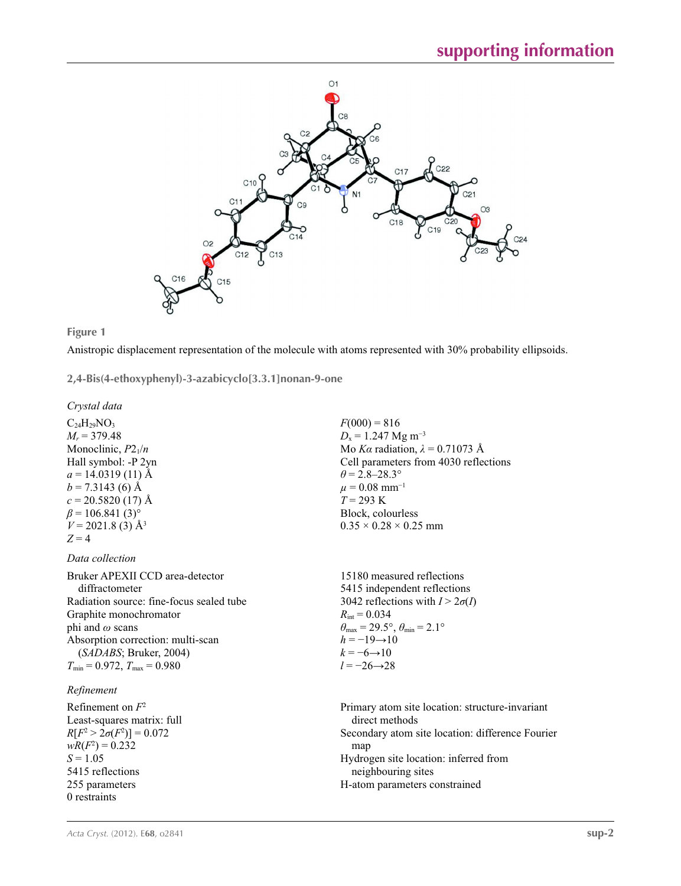



Anistropic displacement representation of the molecule with atoms represented with 30% probability ellipsoids.

**2,4-Bis(4-ethoxyphenyl)-3-azabicyclo[3.3.1]nonan-9-one** 

*Crystal data*

 $C_{24}H_{29}NO_3$  $M_r$  = 379.48 Monoclinic,  $P2_1/n$ Hall symbol: -P 2yn  $a = 14.0319(11)$  Å  $b = 7.3143(6)$  Å  $c = 20.5820(17)$  Å  $\beta$  = 106.841 (3)<sup>o</sup>  $V = 2021.8$  (3)  $\AA$ <sup>3</sup>  $Z = 4$ 

*Data collection*

Bruker APEXII CCD area-detector diffractometer Radiation source: fine-focus sealed tube Graphite monochromator phi and *ω* scans Absorption correction: multi-scan (*SADABS*; Bruker, 2004)  $T_{\text{min}} = 0.972$ ,  $T_{\text{max}} = 0.980$ 

## *Refinement*

Refinement on *F*<sup>2</sup> Least-squares matrix: full *R*[ $F^2 > 2\sigma(F^2)$ ] = 0.072  $wR(F^2) = 0.232$ *S* = 1.05 5415 reflections 255 parameters 0 restraints

 $F(000) = 816$  $D_x = 1.247$  Mg m<sup>-3</sup> Mo *Kα* radiation,  $\lambda = 0.71073$  Å Cell parameters from 4030 reflections  $\theta$  = 2.8–28.3°  $\mu = 0.08$  mm<sup>-1</sup>  $T = 293 \text{ K}$ Block, colourless  $0.35 \times 0.28 \times 0.25$  mm

15180 measured reflections 5415 independent reflections 3042 reflections with  $I > 2\sigma(I)$  $R_{\text{int}} = 0.034$  $\theta_{\text{max}} = 29.5^{\circ}, \theta_{\text{min}} = 2.1^{\circ}$  $h = -19 \rightarrow 10$  $k = -6 \rightarrow 10$ *l* = −26→28

Primary atom site location: structure-invariant direct methods Secondary atom site location: difference Fourier map Hydrogen site location: inferred from neighbouring sites H-atom parameters constrained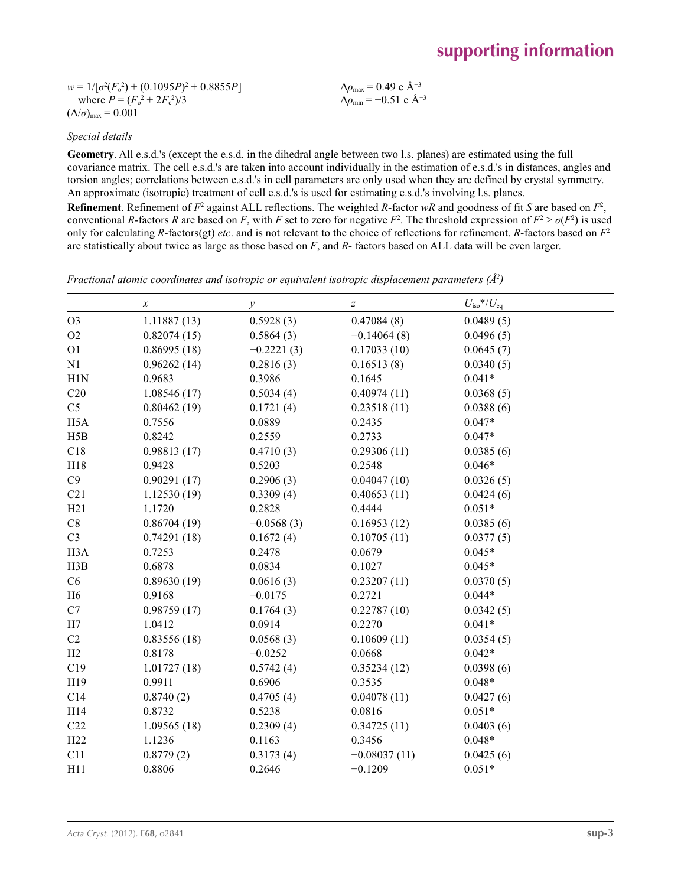$w = 1/[\sigma^2 (F_o^2) + (0.1095P)^2 + 0.8855P]$ where  $P = (F_o^2 + 2F_c^2)/3$  $(\Delta/\sigma)_{\text{max}} = 0.001$ 

Δ*ρ*max = 0.49 e Å−3  $\Delta\rho_{\text{min}} = -0.51$  e Å<sup>-3</sup>

## *Special details*

**Geometry**. All e.s.d.'s (except the e.s.d. in the dihedral angle between two l.s. planes) are estimated using the full covariance matrix. The cell e.s.d.'s are taken into account individually in the estimation of e.s.d.'s in distances, angles and torsion angles; correlations between e.s.d.'s in cell parameters are only used when they are defined by crystal symmetry. An approximate (isotropic) treatment of cell e.s.d.'s is used for estimating e.s.d.'s involving l.s. planes. **Refinement**. Refinement of  $F^2$  against ALL reflections. The weighted *R*-factor  $wR$  and goodness of fit *S* are based on  $F^2$ , conventional *R*-factors *R* are based on *F*, with *F* set to zero for negative  $F^2$ . The threshold expression of  $F^2 > \sigma(F^2)$  is used only for calculating *R*-factors(gt) *etc*. and is not relevant to the choice of reflections for refinement. *R*-factors based on *F*<sup>2</sup> are statistically about twice as large as those based on *F*, and *R*- factors based on ALL data will be even larger.

*Fractional atomic coordinates and isotropic or equivalent isotropic displacement parameters (Å<sup>2</sup>)* 

|                  | $\boldsymbol{x}$ | у            | $\boldsymbol{Z}$ | $U_{\rm iso}*/U_{\rm eq}$ |  |
|------------------|------------------|--------------|------------------|---------------------------|--|
| O <sub>3</sub>   | 1.11887(13)      | 0.5928(3)    | 0.47084(8)       | 0.0489(5)                 |  |
| O2               | 0.82074(15)      | 0.5864(3)    | $-0.14064(8)$    | 0.0496(5)                 |  |
| O <sub>1</sub>   | 0.86995(18)      | $-0.2221(3)$ | 0.17033(10)      | 0.0645(7)                 |  |
| N1               | 0.96262(14)      | 0.2816(3)    | 0.16513(8)       | 0.0340(5)                 |  |
| H1N              | 0.9683           | 0.3986       | 0.1645           | $0.041*$                  |  |
| C20              | 1.08546(17)      | 0.5034(4)    | 0.40974(11)      | 0.0368(5)                 |  |
| C <sub>5</sub>   | 0.80462(19)      | 0.1721(4)    | 0.23518(11)      | 0.0388(6)                 |  |
| H <sub>5</sub> A | 0.7556           | 0.0889       | 0.2435           | $0.047*$                  |  |
| H5B              | 0.8242           | 0.2559       | 0.2733           | $0.047*$                  |  |
| C18              | 0.98813(17)      | 0.4710(3)    | 0.29306(11)      | 0.0385(6)                 |  |
| H18              | 0.9428           | 0.5203       | 0.2548           | $0.046*$                  |  |
| C9               | 0.90291(17)      | 0.2906(3)    | 0.04047(10)      | 0.0326(5)                 |  |
| C21              | 1.12530(19)      | 0.3309(4)    | 0.40653(11)      | 0.0424(6)                 |  |
| H21              | 1.1720           | 0.2828       | 0.4444           | $0.051*$                  |  |
| C8               | 0.86704(19)      | $-0.0568(3)$ | 0.16953(12)      | 0.0385(6)                 |  |
| C <sub>3</sub>   | 0.74291(18)      | 0.1672(4)    | 0.10705(11)      | 0.0377(5)                 |  |
| H <sub>3</sub> A | 0.7253           | 0.2478       | 0.0679           | $0.045*$                  |  |
| H3B              | 0.6878           | 0.0834       | 0.1027           | $0.045*$                  |  |
| C6               | 0.89630(19)      | 0.0616(3)    | 0.23207(11)      | 0.0370(5)                 |  |
| H <sub>6</sub>   | 0.9168           | $-0.0175$    | 0.2721           | $0.044*$                  |  |
| C7               | 0.98759(17)      | 0.1764(3)    | 0.22787(10)      | 0.0342(5)                 |  |
| H7               | 1.0412           | 0.0914       | 0.2270           | $0.041*$                  |  |
| C2               | 0.83556(18)      | 0.0568(3)    | 0.10609(11)      | 0.0354(5)                 |  |
| H2               | 0.8178           | $-0.0252$    | 0.0668           | $0.042*$                  |  |
| C19              | 1.01727(18)      | 0.5742(4)    | 0.35234(12)      | 0.0398(6)                 |  |
| H19              | 0.9911           | 0.6906       | 0.3535           | $0.048*$                  |  |
| C14              | 0.8740(2)        | 0.4705(4)    | 0.04078(11)      | 0.0427(6)                 |  |
| H14              | 0.8732           | 0.5238       | 0.0816           | $0.051*$                  |  |
| C22              | 1.09565(18)      | 0.2309(4)    | 0.34725(11)      | 0.0403(6)                 |  |
| H22              | 1.1236           | 0.1163       | 0.3456           | $0.048*$                  |  |
| C11              | 0.8779(2)        | 0.3173(4)    | $-0.08037(11)$   | 0.0425(6)                 |  |
| H11              | 0.8806           | 0.2646       | $-0.1209$        | $0.051*$                  |  |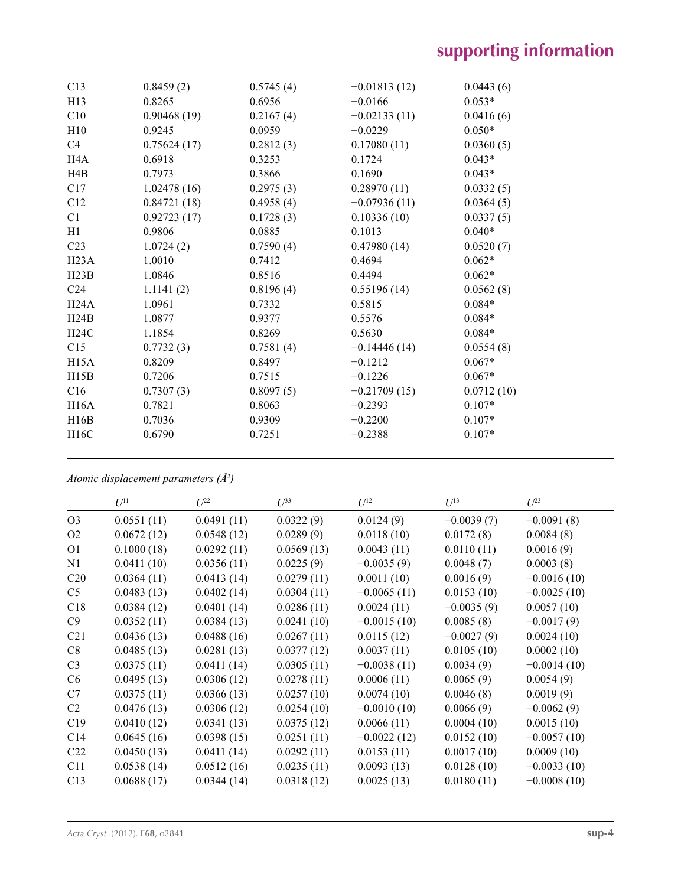| C13              | 0.8459(2)   | 0.5745(4) | $-0.01813(12)$ | 0.0443(6)  |
|------------------|-------------|-----------|----------------|------------|
| H <sub>13</sub>  | 0.8265      | 0.6956    | $-0.0166$      | $0.053*$   |
| C10              | 0.90468(19) | 0.2167(4) | $-0.02133(11)$ | 0.0416(6)  |
| H10              | 0.9245      | 0.0959    | $-0.0229$      | $0.050*$   |
| C4               | 0.75624(17) | 0.2812(3) | 0.17080(11)    | 0.0360(5)  |
| H <sub>4</sub> A | 0.6918      | 0.3253    | 0.1724         | $0.043*$   |
| H4B              | 0.7973      | 0.3866    | 0.1690         | $0.043*$   |
| C17              | 1.02478(16) | 0.2975(3) | 0.28970(11)    | 0.0332(5)  |
| C12              | 0.84721(18) | 0.4958(4) | $-0.07936(11)$ | 0.0364(5)  |
| C <sub>1</sub>   | 0.92723(17) | 0.1728(3) | 0.10336(10)    | 0.0337(5)  |
| H1               | 0.9806      | 0.0885    | 0.1013         | $0.040*$   |
| C <sub>23</sub>  | 1.0724(2)   | 0.7590(4) | 0.47980(14)    | 0.0520(7)  |
| H23A             | 1.0010      | 0.7412    | 0.4694         | $0.062*$   |
| H23B             | 1.0846      | 0.8516    | 0.4494         | $0.062*$   |
| C <sub>24</sub>  | 1.1141(2)   | 0.8196(4) | 0.55196(14)    | 0.0562(8)  |
| H24A             | 1.0961      | 0.7332    | 0.5815         | $0.084*$   |
| H24B             | 1.0877      | 0.9377    | 0.5576         | $0.084*$   |
| H24C             | 1.1854      | 0.8269    | 0.5630         | $0.084*$   |
| C15              | 0.7732(3)   | 0.7581(4) | $-0.14446(14)$ | 0.0554(8)  |
| H15A             | 0.8209      | 0.8497    | $-0.1212$      | $0.067*$   |
| H15B             | 0.7206      | 0.7515    | $-0.1226$      | $0.067*$   |
| C16              | 0.7307(3)   | 0.8097(5) | $-0.21709(15)$ | 0.0712(10) |
| H16A             | 0.7821      | 0.8063    | $-0.2393$      | $0.107*$   |
| H16B             | 0.7036      | 0.9309    | $-0.2200$      | $0.107*$   |
| H16C             | 0.6790      | 0.7251    | $-0.2388$      | $0.107*$   |
|                  |             |           |                |            |

*Atomic displacement parameters (Å2 )*

|                 | $U^{11}$   | $U^{22}$   | $U^{33}$   | $U^{12}$      | $U^{13}$     | $U^{23}$      |
|-----------------|------------|------------|------------|---------------|--------------|---------------|
| O <sub>3</sub>  | 0.0551(11) | 0.0491(11) | 0.0322(9)  | 0.0124(9)     | $-0.0039(7)$ | $-0.0091(8)$  |
| O2              | 0.0672(12) | 0.0548(12) | 0.0289(9)  | 0.0118(10)    | 0.0172(8)    | 0.0084(8)     |
| O <sub>1</sub>  | 0.1000(18) | 0.0292(11) | 0.0569(13) | 0.0043(11)    | 0.0110(11)   | 0.0016(9)     |
| N1              | 0.0411(10) | 0.0356(11) | 0.0225(9)  | $-0.0035(9)$  | 0.0048(7)    | 0.0003(8)     |
| C20             | 0.0364(11) | 0.0413(14) | 0.0279(11) | 0.0011(10)    | 0.0016(9)    | $-0.0016(10)$ |
| C <sub>5</sub>  | 0.0483(13) | 0.0402(14) | 0.0304(11) | $-0.0065(11)$ | 0.0153(10)   | $-0.0025(10)$ |
| C18             | 0.0384(12) | 0.0401(14) | 0.0286(11) | 0.0024(11)    | $-0.0035(9)$ | 0.0057(10)    |
| C9              | 0.0352(11) | 0.0384(13) | 0.0241(10) | $-0.0015(10)$ | 0.0085(8)    | $-0.0017(9)$  |
| C21             | 0.0436(13) | 0.0488(16) | 0.0267(11) | 0.0115(12)    | $-0.0027(9)$ | 0.0024(10)    |
| C8              | 0.0485(13) | 0.0281(13) | 0.0377(12) | 0.0037(11)    | 0.0105(10)   | 0.0002(10)    |
| C <sub>3</sub>  | 0.0375(11) | 0.0411(14) | 0.0305(11) | $-0.0038(11)$ | 0.0034(9)    | $-0.0014(10)$ |
| C6              | 0.0495(13) | 0.0306(12) | 0.0278(11) | 0.0006(11)    | 0.0065(9)    | 0.0054(9)     |
| C7              | 0.0375(11) | 0.0366(13) | 0.0257(10) | 0.0074(10)    | 0.0046(8)    | 0.0019(9)     |
| C <sub>2</sub>  | 0.0476(13) | 0.0306(12) | 0.0254(10) | $-0.0010(10)$ | 0.0066(9)    | $-0.0062(9)$  |
| C19             | 0.0410(12) | 0.0341(13) | 0.0375(12) | 0.0066(11)    | 0.0004(10)   | 0.0015(10)    |
| C14             | 0.0645(16) | 0.0398(15) | 0.0251(11) | $-0.0022(12)$ | 0.0152(10)   | $-0.0057(10)$ |
| C <sub>22</sub> | 0.0450(13) | 0.0411(14) | 0.0292(11) | 0.0153(11)    | 0.0017(10)   | 0.0009(10)    |
| C11             | 0.0538(14) | 0.0512(16) | 0.0235(11) | 0.0093(13)    | 0.0128(10)   | $-0.0033(10)$ |
| C13             | 0.0688(17) | 0.0344(14) | 0.0318(12) | 0.0025(13)    | 0.0180(11)   | $-0.0008(10)$ |
|                 |            |            |            |               |              |               |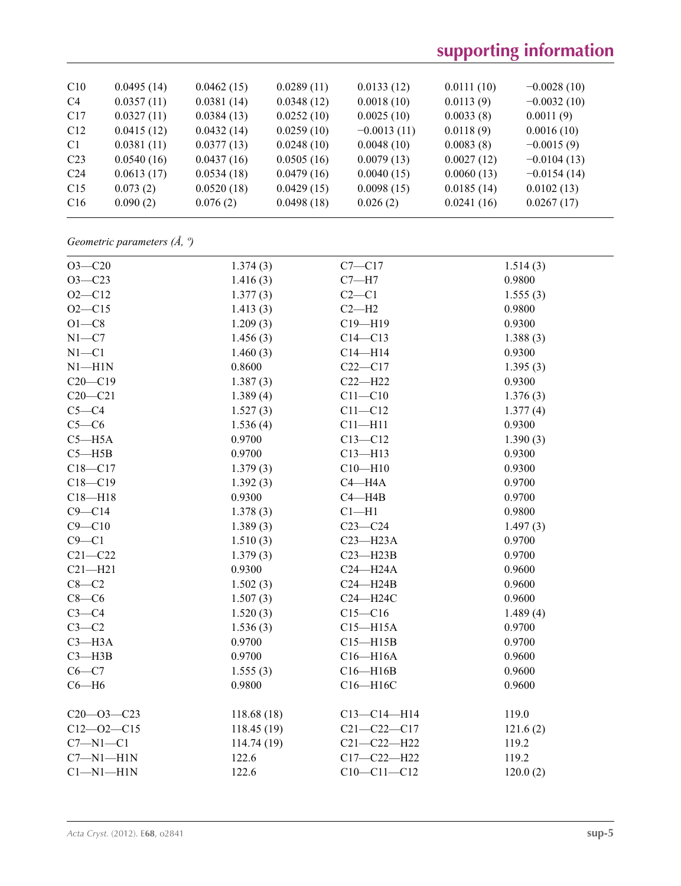# **supporting information**

| C10             | 0.0495(14) | 0.0462(15) | 0.0289(11) | 0.0133(12)    | 0.0111(10) | $-0.0028(10)$ |
|-----------------|------------|------------|------------|---------------|------------|---------------|
| C <sub>4</sub>  | 0.0357(11) | 0.0381(14) | 0.0348(12) | 0.0018(10)    | 0.0113(9)  | $-0.0032(10)$ |
| C17             | 0.0327(11) | 0.0384(13) | 0.0252(10) | 0.0025(10)    | 0.0033(8)  | 0.0011(9)     |
| C12             | 0.0415(12) | 0.0432(14) | 0.0259(10) | $-0.0013(11)$ | 0.0118(9)  | 0.0016(10)    |
| C1              | 0.0381(11) | 0.0377(13) | 0.0248(10) | 0.0048(10)    | 0.0083(8)  | $-0.0015(9)$  |
| C <sub>23</sub> | 0.0540(16) | 0.0437(16) | 0.0505(16) | 0.0079(13)    | 0.0027(12) | $-0.0104(13)$ |
| C <sub>24</sub> | 0.0613(17) | 0.0534(18) | 0.0479(16) | 0.0040(15)    | 0.0060(13) | $-0.0154(14)$ |
| C15             | 0.073(2)   | 0.0520(18) | 0.0429(15) | 0.0098(15)    | 0.0185(14) | 0.0102(13)    |
| C16             | 0.090(2)   | 0.076(2)   | 0.0498(18) | 0.026(2)      | 0.0241(16) | 0.0267(17)    |
|                 |            |            |            |               |            |               |

*Geometric parameters (Å, º)*

| $O3 - C20$       | 1.374(3)    | $C7 - C17$        | 1.514(3) |
|------------------|-------------|-------------------|----------|
| $O3 - C23$       | 1.416(3)    | $C7 - H7$         | 0.9800   |
| $O2 - C12$       | 1.377(3)    | $C2-C1$           | 1.555(3) |
| $O2 - C15$       | 1.413(3)    | $C2 - H2$         | 0.9800   |
| $O1 - C8$        | 1.209(3)    | $C19 - H19$       | 0.9300   |
| $N1 - C7$        | 1.456(3)    | $C14 - C13$       | 1.388(3) |
| $N1 - C1$        | 1.460(3)    | $C14 - H14$       | 0.9300   |
| $N1 - H1N$       | 0.8600      | $C22-C17$         | 1.395(3) |
| $C20-C19$        | 1.387(3)    | $C22-H22$         | 0.9300   |
| $C20-C21$        | 1.389(4)    | $C11 - C10$       | 1.376(3) |
| $C5-C4$          | 1.527(3)    | $C11 - C12$       | 1.377(4) |
| $C5-C6$          | 1.536(4)    | $C11 - H11$       | 0.9300   |
| $C5 - H5A$       | 0.9700      | $C13 - C12$       | 1.390(3) |
| $C5 - H5B$       | 0.9700      | $C13 - H13$       | 0.9300   |
| $C18 - C17$      | 1.379(3)    | $C10 - H10$       | 0.9300   |
| $C18 - C19$      | 1.392(3)    | $C4 - H4A$        | 0.9700   |
| $C18 - H18$      | 0.9300      | $C4 - H4B$        | 0.9700   |
| $C9 - C14$       | 1.378(3)    | $Cl-H1$           | 0.9800   |
| $C9 - C10$       | 1.389(3)    | $C23-C24$         | 1.497(3) |
| $C9 - C1$        | 1.510(3)    | $C23 - H23A$      | 0.9700   |
| $C21 - C22$      | 1.379(3)    | $C23 - H23B$      | 0.9700   |
| $C21 - H21$      | 0.9300      | $C24 - H24A$      | 0.9600   |
| $C8-C2$          | 1.502(3)    | $C24 - H24B$      | 0.9600   |
| $C8-C6$          | 1.507(3)    | $C24 - H24C$      | 0.9600   |
| $C3-C4$          | 1.520(3)    | $C15-C16$         | 1.489(4) |
| $C3-C2$          | 1.536(3)    | $C15 - H15A$      | 0.9700   |
| $C3 - H3A$       | 0.9700      | $C15 - H15B$      | 0.9700   |
| $C3 - H3B$       | 0.9700      | $C16 - H16A$      | 0.9600   |
| $C6-C7$          | 1.555(3)    | $C16 - H16B$      | 0.9600   |
| $C6 - H6$        | 0.9800      | C16-H16C          | 0.9600   |
| $C20 - 03 - C23$ | 118.68(18)  | $C13 - C14 - H14$ | 119.0    |
| $C12 - 02 - C15$ | 118.45 (19) | $C21 - C22 - C17$ | 121.6(2) |
| $C7 - N1 - C1$   | 114.74 (19) | $C21 - C22 - H22$ | 119.2    |
| $C7 - N1 - H1N$  | 122.6       | $C17 - C22 - H22$ | 119.2    |
| $Cl-M1-H1N$      | 122.6       | $C10-C11-C12$     | 120.0(2) |
|                  |             |                   |          |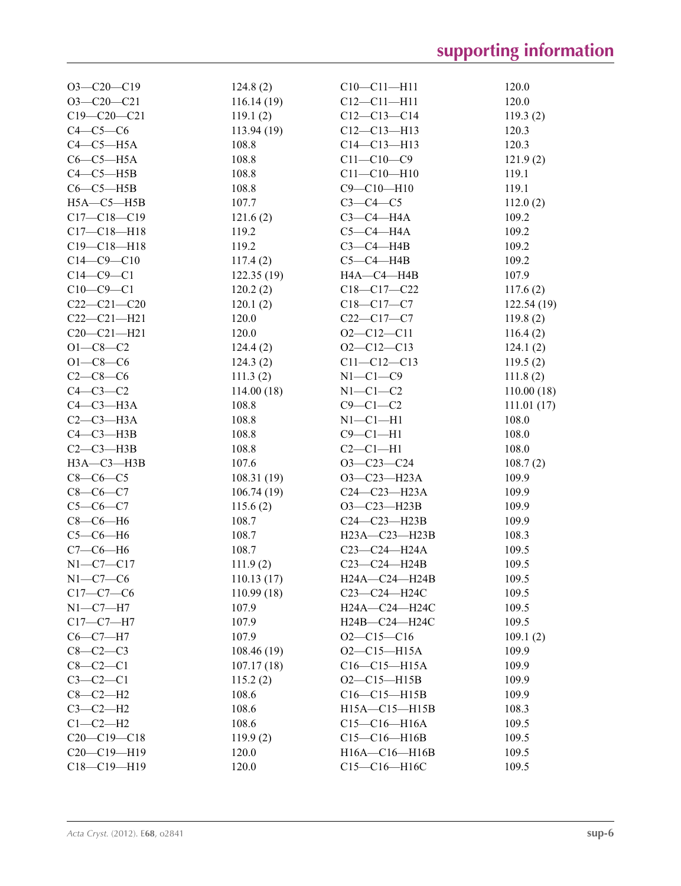| $O3-C20-C19$      | 124.8(2)          | $C10-C11-H11$       | 120.0             |
|-------------------|-------------------|---------------------|-------------------|
| $O3 - C20 - C21$  | 116.14(19)        | $C12 - C11 - H11$   | 120.0             |
| $C19 - C20 - C21$ | 119.1(2)          | $C12-C13-C14$       | 119.3(2)          |
| $C4-C5-C6$        | 113.94(19)        | $C12 - C13 - H13$   | 120.3             |
| $C4-C5-H5A$       | 108.8             | $C14 - C13 - H13$   | 120.3             |
| $C6-C5-H5A$       | 108.8             | $C11 - C10 - C9$    | 121.9(2)          |
| $C4-C5-H5B$       | 108.8             | $C11 - C10 - H10$   | 119.1             |
| $C6-C5-H5B$       | 108.8             | $C9 - C10 - H10$    | 119.1             |
| $H5A - C5 - H5B$  | 107.7             | $C3-C4-C5$          | 112.0(2)          |
| $C17 - C18 - C19$ | 121.6(2)          | $C3-C4-H4A$         | 109.2             |
| $C17 - C18 - H18$ | 119.2             | $C5-C4-H4A$         | 109.2             |
| $C19 - C18 - H18$ | 119.2             | $C3-C4-H4B$         | 109.2             |
| $C14 - C9 - C10$  | 117.4(2)          | $C5-C4-H4B$         | 109.2             |
| $C14 - C9 - C1$   | 122.35(19)        | HA—C4—H4B           | 107.9             |
| $C10-C9-C1$       | 120.2(2)          | $C18 - C17 - C22$   | 117.6(2)          |
| $C22-C21-C20$     | 120.1(2)          | $C18 - C17 - C7$    | 122.54(19)        |
| $C22-C21-H21$     | 120.0             | $C22-C17-C7$        | 119.8(2)          |
| $C20 - C21 - H21$ | 120.0             | $O2 - C12 - C11$    | 116.4(2)          |
| $O1 - C8 - C2$    | 124.4(2)          | $O2 - C12 - C13$    | 124.1(2)          |
| $O1 - C8 - C6$    | 124.3(2)          | $C11 - C12 - C13$   | 119.5(2)          |
| $C2-C8-C6$        | 111.3(2)          | $N1-C1-C9$          | 111.8(2)          |
| $C4-C3-C2$        | 114.00(18)        | $N1-C1-C2$          | 110.00(18)        |
| $C4-C3-H3A$       | 108.8             | $C9-C1-C2$          | 111.01(17)        |
| $C2-C3-H3A$       | 108.8             | $N1-C1-H1$          | 108.0             |
| $C4 - C3 - H3B$   | 108.8             | $C9 - C1 - H1$      | 108.0             |
| $C2-C3-H3B$       | 108.8             | $C2-C1-H1$          | 108.0             |
| $H3A - C3 - H3B$  | 107.6             | $O3-C23-C24$        |                   |
| $C8-C6-C5$        |                   | $O3-C23-H23A$       | 108.7(2)<br>109.9 |
|                   | 108.31(19)        |                     |                   |
| $C8-C6-C7$        | 106.74(19)        | $C24 - C23 - H23A$  | 109.9             |
| $C5-C6-C7$        | 115.6(2)<br>108.7 | $O3 - C23 - H23B$   | 109.9             |
| $C8-C6-H6$        |                   | $C24-C23-H23B$      | 109.9             |
| $C5-C6-H6$        | 108.7             | $H23A - C23 - H23B$ | 108.3             |
| $C7-C6-H6$        | 108.7             | C23-C24-H24A        | 109.5             |
| $N1 - C7 - C17$   | 111.9(2)          | C23-C24-H24B        | 109.5             |
| $N1-C7-C6$        | 110.13(17)        | H24A-C24-H24B       | 109.5             |
| $C17 - C7 - C6$   | 110.99(18)        | $C23 - C24 - H24C$  | 109.5             |
| $N1-C7-H7$        | 107.9             | H24A-C24-H24C       | 109.5             |
| $C17 - C7 - H7$   | 107.9             | Н24В-С24-Н24С       | 109.5             |
| $C6 - C7 - H7$    | 107.9             | $O2 - C15 - C16$    | 109.1(2)          |
| $C8-C2-C3$        | 108.46(19)        | $O2 - C15 - H15A$   | 109.9             |
| $C8-C2-C1$        | 107.17(18)        | $C16-C15-H15A$      | 109.9             |
| $C3-C2-C1$        | 115.2(2)          | $O2 - C15 - H15B$   | 109.9             |
| $C8-C2-H2$        | 108.6             | $C16-C15-H15B$      | 109.9             |
| $C3-C2-H2$        | 108.6             | $H15A - C15 - H15B$ | 108.3             |
| $C1-C2-H2$        | 108.6             | $C15-C16-H16A$      | 109.5             |
| $C20-C19-C18$     | 119.9(2)          | $C15-C16-H16B$      | 109.5             |
| $C20-C19-H19$     | 120.0             | H16A-C16-H16B       | 109.5             |
| $C18-C19-H19$     | 120.0             | C15-C16-H16C        | 109.5             |